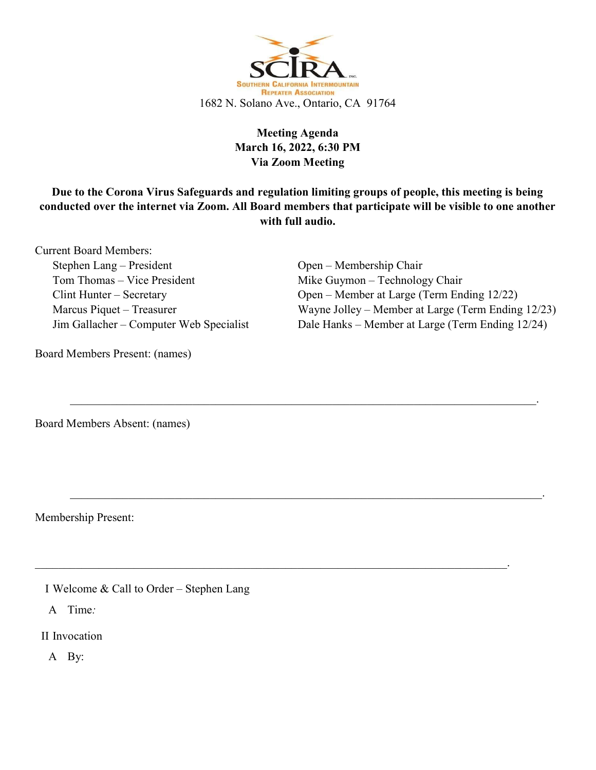

## Meeting Agenda March 16, 2022, 6:30 PM Via Zoom Meeting

Due to the Corona Virus Safeguards and regulation limiting groups of people, this meeting is being conducted over the internet via Zoom. All Board members that participate will be visible to one another with full audio.

 $\mathcal{L}_\mathcal{L} = \mathcal{L}_\mathcal{L} = \mathcal{L}_\mathcal{L} = \mathcal{L}_\mathcal{L} = \mathcal{L}_\mathcal{L} = \mathcal{L}_\mathcal{L} = \mathcal{L}_\mathcal{L} = \mathcal{L}_\mathcal{L} = \mathcal{L}_\mathcal{L} = \mathcal{L}_\mathcal{L} = \mathcal{L}_\mathcal{L} = \mathcal{L}_\mathcal{L} = \mathcal{L}_\mathcal{L} = \mathcal{L}_\mathcal{L} = \mathcal{L}_\mathcal{L} = \mathcal{L}_\mathcal{L} = \mathcal{L}_\mathcal{L}$ 

 $\mathcal{L}_\mathcal{L} = \mathcal{L}_\mathcal{L} = \mathcal{L}_\mathcal{L} = \mathcal{L}_\mathcal{L} = \mathcal{L}_\mathcal{L} = \mathcal{L}_\mathcal{L} = \mathcal{L}_\mathcal{L} = \mathcal{L}_\mathcal{L} = \mathcal{L}_\mathcal{L} = \mathcal{L}_\mathcal{L} = \mathcal{L}_\mathcal{L} = \mathcal{L}_\mathcal{L} = \mathcal{L}_\mathcal{L} = \mathcal{L}_\mathcal{L} = \mathcal{L}_\mathcal{L} = \mathcal{L}_\mathcal{L} = \mathcal{L}_\mathcal{L}$ 

 $\mathcal{L}_\mathcal{L} = \mathcal{L}_\mathcal{L} = \mathcal{L}_\mathcal{L} = \mathcal{L}_\mathcal{L} = \mathcal{L}_\mathcal{L} = \mathcal{L}_\mathcal{L} = \mathcal{L}_\mathcal{L} = \mathcal{L}_\mathcal{L} = \mathcal{L}_\mathcal{L} = \mathcal{L}_\mathcal{L} = \mathcal{L}_\mathcal{L} = \mathcal{L}_\mathcal{L} = \mathcal{L}_\mathcal{L} = \mathcal{L}_\mathcal{L} = \mathcal{L}_\mathcal{L} = \mathcal{L}_\mathcal{L} = \mathcal{L}_\mathcal{L}$ 

Current Board Members: Stephen Lang – President Tom Thomas – Vice President Clint Hunter – Secretary Marcus Piquet – Treasurer Jim Gallacher – Computer Web Specialist

Board Members Present: (names)

Open – Membership Chair Mike Guymon – Technology Chair Open – Member at Large (Term Ending 12/22) Wayne Jolley – Member at Large (Term Ending 12/23) Dale Hanks – Member at Large (Term Ending 12/24)

Board Members Absent: (names)

Membership Present:

I Welcome & Call to Order – Stephen Lang

A Time:

II Invocation

A By: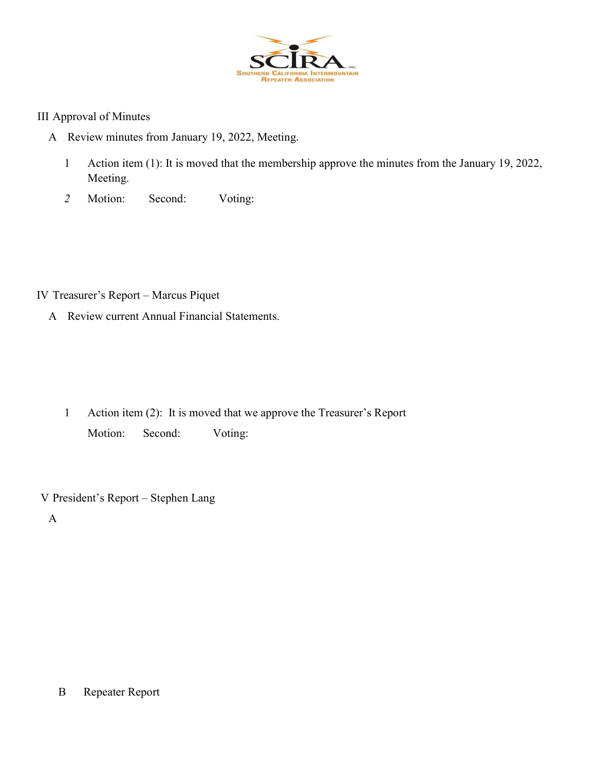

#### III Approval of Minutes

- A Review minutes from January 19, 2022, Meeting.
	- 1 Action item (1): It is moved that the membership approve the minutes from the January 19, 2022, Meeting.
	- 2 Motion: Second: Voting:

IV Treasurer's Report – Marcus Piquet

A Review current Annual Financial Statements.

1 Action item (2): It is moved that we approve the Treasurer's Report Motion: Second: Voting:

V President's Report – Stephen Lang

A

## B Repeater Report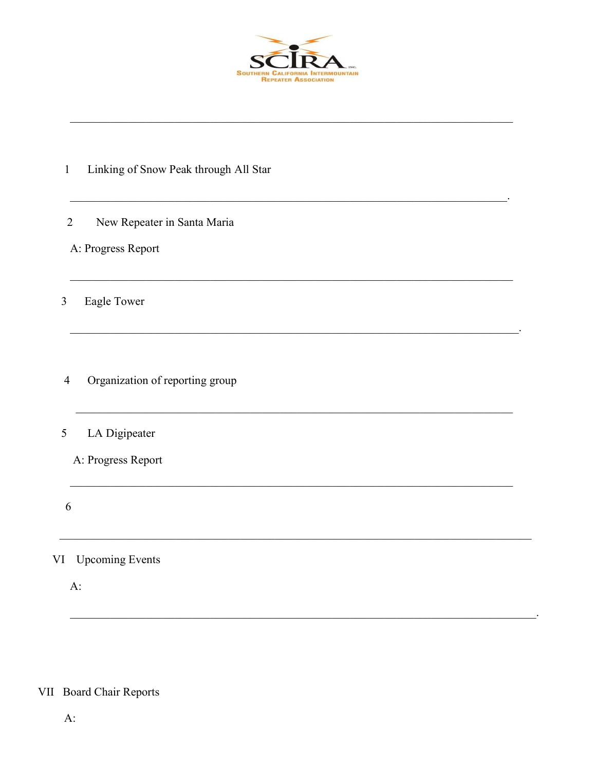

- Linking of Snow Peak through All Star  $\mathbf{1}$
- New Repeater in Santa Maria  $\overline{2}$
- A: Progress Report

Eagle Tower  $\overline{3}$ 

Organization of reporting group  $\overline{4}$ 

#### LA Digipeater 5

A: Progress Report

- 6
- VI Upcoming Events

 $A$ :

# VII Board Chair Reports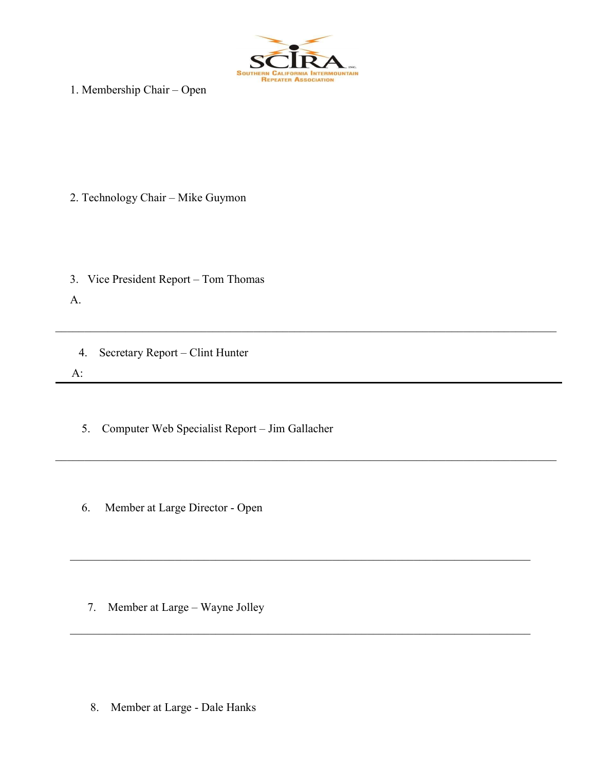

 $\mathcal{L}_\text{max} = \mathcal{L}_\text{max} = \mathcal{L}_\text{max} = \mathcal{L}_\text{max} = \mathcal{L}_\text{max} = \mathcal{L}_\text{max} = \mathcal{L}_\text{max} = \mathcal{L}_\text{max} = \mathcal{L}_\text{max} = \mathcal{L}_\text{max} = \mathcal{L}_\text{max} = \mathcal{L}_\text{max} = \mathcal{L}_\text{max} = \mathcal{L}_\text{max} = \mathcal{L}_\text{max} = \mathcal{L}_\text{max} = \mathcal{L}_\text{max} = \mathcal{L}_\text{max} = \mathcal{$ 

1. Membership Chair – Open

- 2. Technology Chair Mike Guymon
- 3. Vice President Report Tom Thomas

A.

- 4. Secretary Report Clint Hunter A:
	- 5. Computer Web Specialist Report Jim Gallacher
	- 6. Member at Large Director Open

7. Member at Large – Wayne Jolley

8. Member at Large - Dale Hanks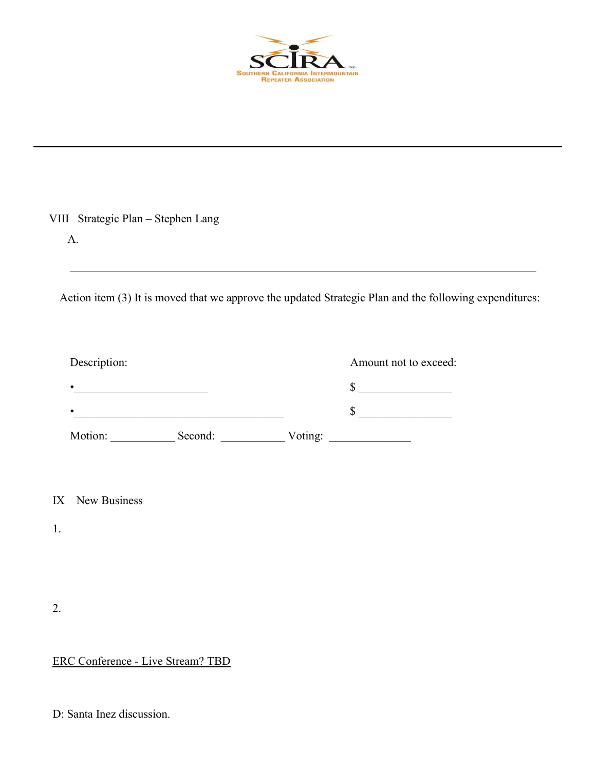

| A.                 |                                                                                            | Action item (3) It is moved that we approve the updated Strategic Plan and the following expenditures: |
|--------------------|--------------------------------------------------------------------------------------------|--------------------------------------------------------------------------------------------------------|
| Description:       |                                                                                            | Amount not to exceed:                                                                                  |
|                    |                                                                                            | $\frac{\text{S}}{\text{S}}$                                                                            |
|                    | <u> 1989 - Jan James James Barbara, martxa a shekara 1980 - Andrews Santana (h. 1984).</u> | $\sim$                                                                                                 |
|                    | Motion: Second: Voting: Voting:                                                            |                                                                                                        |
|                    |                                                                                            |                                                                                                        |
| New Business<br>IX |                                                                                            |                                                                                                        |
| 1.                 |                                                                                            |                                                                                                        |
|                    |                                                                                            |                                                                                                        |
|                    |                                                                                            |                                                                                                        |
| 2.                 |                                                                                            |                                                                                                        |

# ERC Conference - Live Stream? TBD

D: Santa Inez discussion.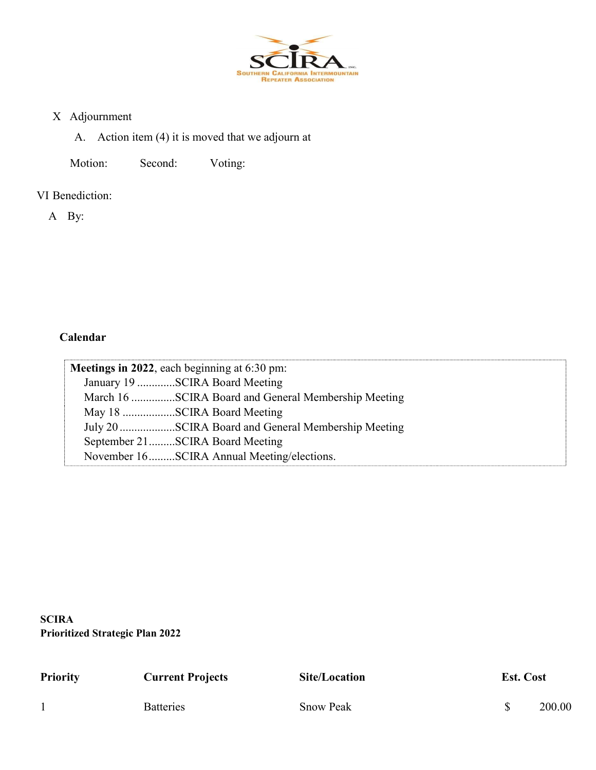

### X Adjournment

A. Action item (4) it is moved that we adjourn at

Motion: Second: Voting:

VI Benediction:

A By:

## Calendar

| Meetings in 2022, each beginning at 6:30 pm:        |
|-----------------------------------------------------|
| January 19 SCIRA Board Meeting                      |
| March 16 SCIRA Board and General Membership Meeting |
| May 18 SCIRA Board Meeting                          |
| July 20 SCIRA Board and General Membership Meeting  |
| September 21SCIRA Board Meeting                     |
| November 16SCIRA Annual Meeting/elections.          |

**SCIRA** Prioritized Strategic Plan 2022

| <b>Priority</b> | <b>Current Projects</b> | Site/Location    | <b>Est. Cost</b> |        |
|-----------------|-------------------------|------------------|------------------|--------|
|                 | <b>Batteries</b>        | <b>Snow Peak</b> |                  | 200.00 |